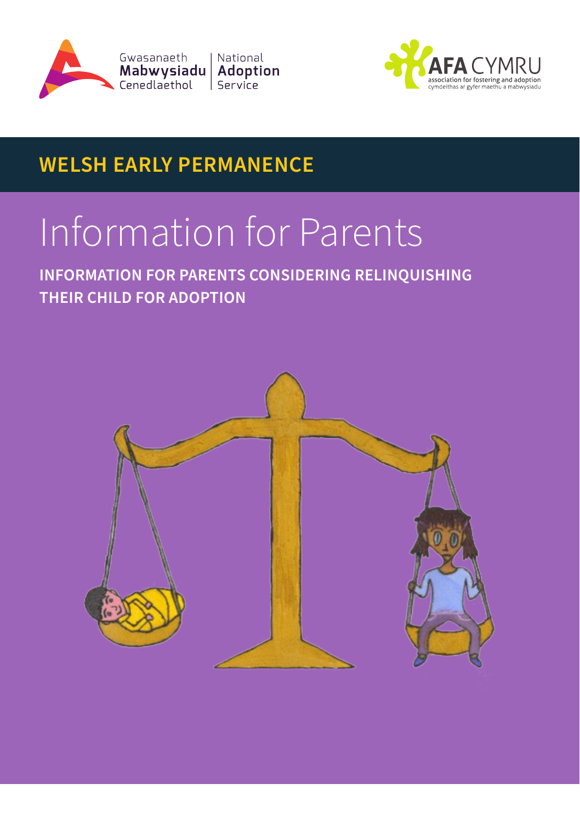



# **WELSH EARLY PERMANENCE**

# Information for Parents

**INFORMATION FOR PARENTS CONSIDERING RELINQUISHING THEIR CHILD FOR ADOPTION**